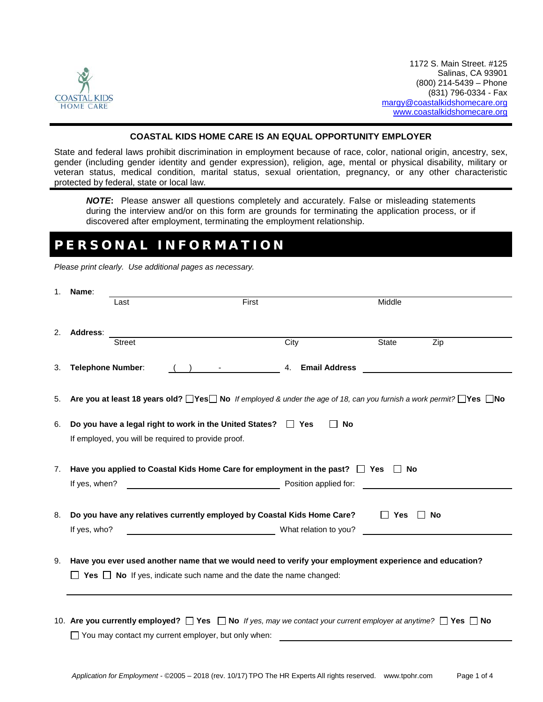

### **COASTAL KIDS HOME CARE IS AN EQUAL OPPORTUNITY EMPLOYER**

State and federal laws prohibit discrimination in employment because of race, color, national origin, ancestry, sex, gender (including gender identity and gender expression), religion, age, mental or physical disability, military or veteran status, medical condition, marital status, sexual orientation, pregnancy, or any other characteristic protected by federal, state or local law.

*NOTE***:** Please answer all questions completely and accurately. False or misleading statements during the interview and/or on this form are grounds for terminating the application process, or if discovered after employment, terminating the employment relationship.

### PERSONAL INFORMATION

*Please print clearly. Use additional pages as necessary.*

| 1. | Name:                                                                                                                                                                                    |               |                                                                                                                                                                                                  |                                                                                                                                                                                                                               |              |           |
|----|------------------------------------------------------------------------------------------------------------------------------------------------------------------------------------------|---------------|--------------------------------------------------------------------------------------------------------------------------------------------------------------------------------------------------|-------------------------------------------------------------------------------------------------------------------------------------------------------------------------------------------------------------------------------|--------------|-----------|
|    |                                                                                                                                                                                          | Last          | First                                                                                                                                                                                            |                                                                                                                                                                                                                               | Middle       |           |
| 2. | Address:                                                                                                                                                                                 |               |                                                                                                                                                                                                  |                                                                                                                                                                                                                               |              |           |
|    |                                                                                                                                                                                          | <b>Street</b> |                                                                                                                                                                                                  | City                                                                                                                                                                                                                          | <b>State</b> | Zip       |
| 3. | <b>Telephone Number:</b>                                                                                                                                                                 |               |                                                                                                                                                                                                  | 4. Email Address                                                                                                                                                                                                              |              |           |
| 5. |                                                                                                                                                                                          |               | Are you at least 18 years old? Nes No If employed & under the age of 18, can you furnish a work permit? Nes No                                                                                   |                                                                                                                                                                                                                               |              |           |
| 6. |                                                                                                                                                                                          |               | Do you have a legal right to work in the United States? □ Yes<br>If employed, you will be required to provide proof.                                                                             | <b>No</b><br>$\mathsf{L}$                                                                                                                                                                                                     |              |           |
| 7. |                                                                                                                                                                                          |               | Have you applied to Coastal Kids Home Care for employment in the past? $\Box$ Yes $\Box$ No                                                                                                      |                                                                                                                                                                                                                               |              |           |
|    | If yes, when?                                                                                                                                                                            |               |                                                                                                                                                                                                  | Position applied for: example to a set of the set of the set of the set of the set of the set of the set of the set of the set of the set of the set of the set of the set of the set of the set of the set of the set of the |              |           |
|    |                                                                                                                                                                                          |               |                                                                                                                                                                                                  |                                                                                                                                                                                                                               |              |           |
| 8. | If yes, who?                                                                                                                                                                             |               | Do you have any relatives currently employed by Coastal Kids Home Care?<br>What relation to you?                                                                                                 |                                                                                                                                                                                                                               | $\Box$ Yes   | $\Box$ No |
|    |                                                                                                                                                                                          |               |                                                                                                                                                                                                  |                                                                                                                                                                                                                               |              |           |
| 9. | Have you ever used another name that we would need to verify your employment experience and education?<br>$\Box$ Yes $\Box$ No If yes, indicate such name and the date the name changed: |               |                                                                                                                                                                                                  |                                                                                                                                                                                                                               |              |           |
|    |                                                                                                                                                                                          |               | 10. Are you currently employed? $\Box$ Yes $\Box$ No If yes, may we contact your current employer at anytime? $\Box$ Yes $\Box$ No<br>$\Box$ You may contact my current employer, but only when: |                                                                                                                                                                                                                               |              |           |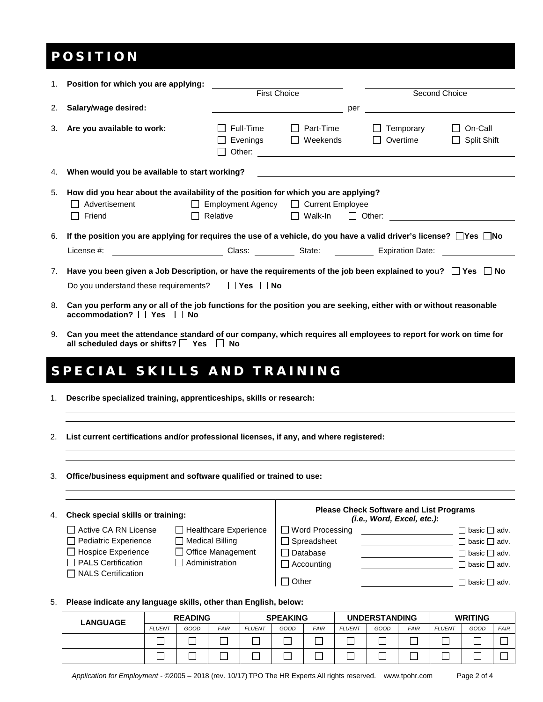### POSITION

| 1. | Position for which you are applying:                                                                                                                                                                                                         |                                                  |                                             |     |                                  |                                        |  |
|----|----------------------------------------------------------------------------------------------------------------------------------------------------------------------------------------------------------------------------------------------|--------------------------------------------------|---------------------------------------------|-----|----------------------------------|----------------------------------------|--|
|    |                                                                                                                                                                                                                                              |                                                  | <b>First Choice</b>                         |     | Second Choice                    |                                        |  |
| 2. | Salary/wage desired:                                                                                                                                                                                                                         |                                                  |                                             | per |                                  |                                        |  |
| 3. | Are you available to work:                                                                                                                                                                                                                   | Full-Time<br>Evenings<br>ΙI                      | Part-Time<br>$\perp$<br>Weekends<br>$\perp$ |     | Temporary<br>Overtime<br>$\perp$ | On-Call<br>$\mathbf{I}$<br>Split Shift |  |
| 4. | When would you be available to start working?<br><u>a sa barang sa mga barang sa mga barang sa mga barang sa mga barang sa mga barang sa mga barang sa mga barang sa </u>                                                                    |                                                  |                                             |     |                                  |                                        |  |
| 5. | How did you hear about the availability of the position for which you are applying?<br>Advertisement<br>$\perp$<br>Friend                                                                                                                    | Employment Agency □ Current Employee<br>Relative | $\Box$ Walk-In                              |     | $\Box$ Other:                    |                                        |  |
| 6. | If the position you are applying for requires the use of a vehicle, do you have a valid driver's license? $\Box$ Yes $\Box$ No                                                                                                               |                                                  |                                             |     |                                  |                                        |  |
|    | Class: State: Expiration Date: Class: Class: State: Class: Class: Class: Class: Class: Class: Class: Class: Class: Class: Class: Class: Class: Class: Class: Class: Class: Class: Class: Class: Class: Class: Class: Class: Cl<br>License #: |                                                  |                                             |     |                                  |                                        |  |
| 7. | Have you been given a Job Description, or have the requirements of the job been explained to you? $\Box$ Yes $\Box$ No<br>Do you understand these requirements? $\Box$ Yes $\Box$ No                                                         |                                                  |                                             |     |                                  |                                        |  |
| 8. | Can you perform any or all of the job functions for the position you are seeking, either with or without reasonable<br>$\alpha$ ccommodation? $\Box$ Yes $\Box$ No                                                                           |                                                  |                                             |     |                                  |                                        |  |
| 9. | Can you meet the attendance standard of our company, which requires all employees to report for work on time for<br>all scheduled days or shifts? $\Box$ Yes $\Box$<br>No                                                                    |                                                  |                                             |     |                                  |                                        |  |

### SPECIAL SKILLS AND TRAINING

- 1. **Describe specialized training, apprenticeships, skills or research:**
- 2. **List current certifications and/or professional licenses, if any, and where registered:**
- 3. **Office/business equipment and software qualified or trained to use:**

| Check special skills or training:<br>4. |                                          | <b>Please Check Software and List Programs</b><br>(i.e., Word, Excel, etc.): |                        |  |                          |
|-----------------------------------------|------------------------------------------|------------------------------------------------------------------------------|------------------------|--|--------------------------|
|                                         | Active CA RN License                     | Healthcare Experience                                                        | $\Box$ Word Processing |  | $\Box$ basic $\Box$ adv. |
|                                         | Pediatric Experience                     | Medical Billing                                                              | $\Box$ Spreadsheet     |  | $\Box$ basic $\Box$ adv. |
|                                         | $\Box$ Hospice Experience                | $\Box$ Office Management                                                     | □ Database             |  | $\Box$ basic $\Box$ adv. |
|                                         | PALS Certification<br>NALS Certification | Administration                                                               | $\Box$ Accounting      |  | $\Box$ basic $\Box$ adv. |
|                                         |                                          |                                                                              | $\sqcap$ Other         |  | $\Box$ basic $\Box$ adv. |

#### 5. **Please indicate any language skills, other than English, below:**

| <b>LANGUAGE</b> | <b>READING</b> |      | <b>SPEAKING</b> |               | <b>UNDERSTANDING</b> |             | <b>WRITING</b> |      |             |               |      |             |
|-----------------|----------------|------|-----------------|---------------|----------------------|-------------|----------------|------|-------------|---------------|------|-------------|
|                 | <b>FLUENT</b>  | GOOD | <b>FAIR</b>     | <b>FLUENT</b> | GOOD                 | <b>FAIR</b> | <b>FLUENT</b>  | GOOD | <b>FAIR</b> | <b>FLUENT</b> | GOOD | <b>FAIR</b> |
|                 |                |      |                 |               |                      |             |                |      |             |               |      |             |
|                 |                |      |                 |               |                      |             |                |      |             |               |      |             |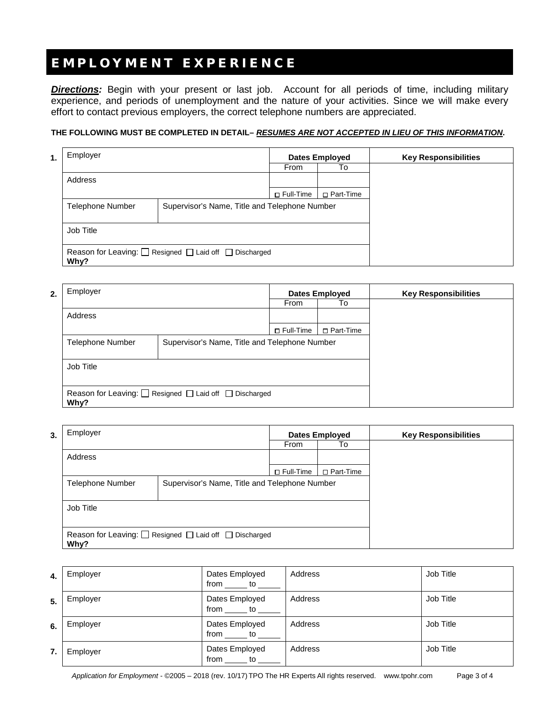# EMPLOYMENT EXPERIENCE

*Directions:* Begin with your present or last job. Account for all periods of time, including military experience, and periods of unemployment and the nature of your activities. Since we will make every effort to contact previous employers, the correct telephone numbers are appreciated.

### **THE FOLLOWING MUST BE COMPLETED IN DETAIL–** *RESUMES ARE NOT ACCEPTED IN LIEU OF THIS INFORMATION***.**

| 1. | Employer                |                                                                       | <b>Dates Employed</b> |             | <b>Key Responsibilities</b> |
|----|-------------------------|-----------------------------------------------------------------------|-----------------------|-------------|-----------------------------|
|    |                         |                                                                       | From                  | To          |                             |
|    | Address                 |                                                                       |                       |             |                             |
|    |                         |                                                                       | □ Full-Time           | □ Part-Time |                             |
|    | <b>Telephone Number</b> | Supervisor's Name, Title and Telephone Number                         |                       |             |                             |
|    | Job Title               |                                                                       |                       |             |                             |
|    | Why?                    | Reason for Leaving: $\Box$ Resigned $\Box$ Laid off $\Box$ Discharged |                       |             |                             |

| 2. | Employer                                                      |                                               |             | <b>Dates Employed</b> | <b>Key Responsibilities</b> |
|----|---------------------------------------------------------------|-----------------------------------------------|-------------|-----------------------|-----------------------------|
|    |                                                               |                                               | From        | To                    |                             |
|    | Address                                                       |                                               |             |                       |                             |
|    |                                                               |                                               | □ Full-Time | □ Part-Time           |                             |
|    | <b>Telephone Number</b>                                       | Supervisor's Name, Title and Telephone Number |             |                       |                             |
|    |                                                               |                                               |             |                       |                             |
|    | Job Title                                                     |                                               |             |                       |                             |
|    |                                                               |                                               |             |                       |                             |
|    | Reason for Leaving: <u>□</u> Resigned □ Laid off □ Discharged |                                               |             |                       |                             |
|    | Why?                                                          |                                               |             |                       |                             |

| Employer<br>3.                                                        |                                               |             | <b>Dates Employed</b> | <b>Key Responsibilities</b> |
|-----------------------------------------------------------------------|-----------------------------------------------|-------------|-----------------------|-----------------------------|
|                                                                       |                                               | From        | To                    |                             |
| Address                                                               |                                               |             |                       |                             |
|                                                                       |                                               | □ Full-Time | □ Part-Time           |                             |
| <b>Telephone Number</b>                                               | Supervisor's Name, Title and Telephone Number |             |                       |                             |
|                                                                       |                                               |             |                       |                             |
| Job Title                                                             |                                               |             |                       |                             |
|                                                                       |                                               |             |                       |                             |
| Reason for Leaving: $\Box$ Resigned $\Box$ Laid off $\Box$ Discharged |                                               |             |                       |                             |
| Why?                                                                  |                                               |             |                       |                             |

| 4. | Employer | Dates Employed<br>from<br>to        | Address | Job Title |
|----|----------|-------------------------------------|---------|-----------|
| 5. | Employer | Dates Employed<br><b>to</b><br>from | Address | Job Title |
| 6. | Employer | Dates Employed<br>to<br>from        | Address | Job Title |
| 7. | Employer | Dates Employed<br>from<br>to        | Address | Job Title |